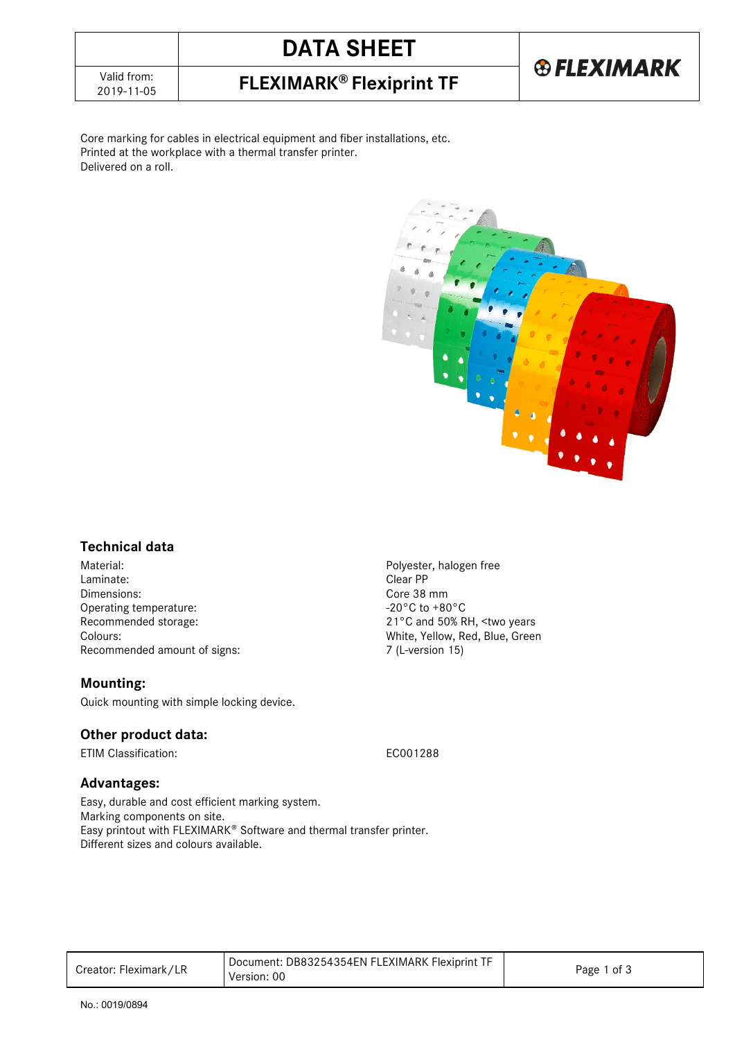# **DATA SHEET**

2019-11-05 **FLEXIMARK® Flexiprint TF**

# **® FLEXIMARK**

Core marking for cables in electrical equipment and fiber installations, etc. Printed at the workplace with a thermal transfer printer. Delivered on a roll.



## **Technical data**

Material: example and the example of the example of the Polyester, halogen free<br>
Polyester, halogen free<br>
Clear PP Laminate: Dimensions:<br>
Operating temperature:<br>
Operating temperature:<br>  $20^{\circ}$ C to +80<sup>°</sup>C Operating temperature:<br>Recommended storage: Colours:<br>
Recommended amount of signs:<br>
T (L-version 15)<br>
7 (L-version 15) Recommended amount of signs:

### **Mounting:**

Quick mounting with simple locking device.

## **Other product data:**

ETIM Classification: EC001288

21°C and 50% RH, <two years

### **Advantages:**

Easy, durable and cost efficient marking system. Marking components on site. Easy printout with FLEXIMARK<sup>®</sup> Software and thermal transfer printer. Different sizes and colours available.

| Creator: Fleximark/LR | Document: DB83254354EN FLEXIMARK Flexiprint TF<br>Version: 00 | Page 1 of 3 |
|-----------------------|---------------------------------------------------------------|-------------|
|-----------------------|---------------------------------------------------------------|-------------|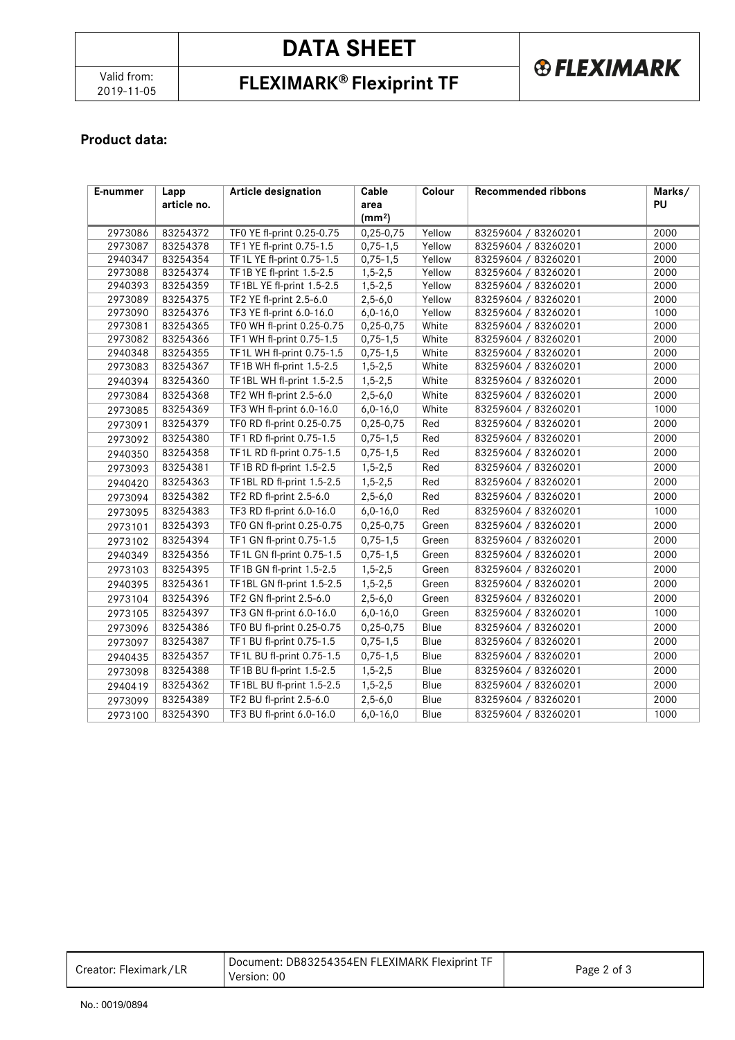# **DATA SHEET**

# 2019-11-05 **FLEXIMARK® Flexiprint TF**

# **® FLEXIMARK**

## **Product data:**

| E-nummer | Lapp        | <b>Article designation</b> | Cable              | Colour | <b>Recommended ribbons</b> | Marks/ |  |
|----------|-------------|----------------------------|--------------------|--------|----------------------------|--------|--|
|          | article no. |                            | area               |        |                            | PU     |  |
|          |             |                            | (mm <sup>2</sup> ) |        |                            |        |  |
| 2973086  | 83254372    | TF0 YE fl-print 0.25-0.75  | $0,25-0,75$        | Yellow | 83259604 / 83260201        | 2000   |  |
| 2973087  | 83254378    | TF1 YE fl-print 0.75-1.5   | $0,75-1,5$         | Yellow | 83259604 / 83260201        | 2000   |  |
| 2940347  | 83254354    | TF1L YE fl-print 0.75-1.5  | $0,75-1,5$         | Yellow | 83259604 / 83260201        | 2000   |  |
| 2973088  | 83254374    | TF1B YE fl-print 1.5-2.5   | $1,5-2,5$          | Yellow | 83259604 / 83260201        | 2000   |  |
| 2940393  | 83254359    | TF1BL YE fl-print 1.5-2.5  | $1,5-2,5$          | Yellow | 83259604 / 83260201        | 2000   |  |
| 2973089  | 83254375    | TF2 YE fl-print 2.5-6.0    | $2,5-6,0$          | Yellow | 83259604 / 83260201        | 2000   |  |
| 2973090  | 83254376    | TF3 YE fl-print 6.0-16.0   | $6,0-16,0$         | Yellow | 83259604 / 83260201        | 1000   |  |
| 2973081  | 83254365    | TF0 WH fl-print 0.25-0.75  | $0,25-0,75$        | White  | 83259604 / 83260201        | 2000   |  |
| 2973082  | 83254366    | TF1 WH fl-print 0.75-1.5   | $0,75-1,5$         | White  | 83259604 / 83260201        | 2000   |  |
| 2940348  | 83254355    | TF1L WH fl-print 0.75-1.5  | $0,75-1,5$         | White  | 83259604 / 83260201        | 2000   |  |
| 2973083  | 83254367    | TF1B WH fl-print 1.5-2.5   | $1,5-2,5$          | White  | 83259604 / 83260201        | 2000   |  |
| 2940394  | 83254360    | TF1BL WH fl-print 1.5-2.5  | $1, 5 - 2, 5$      | White  | 83259604 / 83260201        | 2000   |  |
| 2973084  | 83254368    | TF2 WH fl-print 2.5-6.0    | $2,5-6,0$          | White  | 83259604 / 83260201        | 2000   |  |
| 2973085  | 83254369    | TF3 WH fl-print 6.0-16.0   | $6,0-16,0$         | White  | 83259604 / 83260201        | 1000   |  |
| 2973091  | 83254379    | TF0 RD fl-print 0.25-0.75  | 0,25-0,75          | Red    | 83259604 / 83260201        | 2000   |  |
| 2973092  | 83254380    | TF1 RD fl-print 0.75-1.5   | $0,75-1,5$         | Red    | 83259604 / 83260201        | 2000   |  |
| 2940350  | 83254358    | TF1L RD fl-print 0.75-1.5  | $0,75-1,5$         | Red    | 83259604 / 83260201        | 2000   |  |
| 2973093  | 83254381    | TF1B RD fl-print 1.5-2.5   | $1, 5 - 2, 5$      | Red    | 83259604 / 83260201        | 2000   |  |
| 2940420  | 83254363    | TF1BL RD fl-print 1.5-2.5  | $1, 5 - 2, 5$      | Red    | 83259604 / 83260201        | 2000   |  |
| 2973094  | 83254382    | TF2 RD fl-print 2.5-6.0    | $2,5-6,0$          | Red    | 83259604 / 83260201        | 2000   |  |
| 2973095  | 83254383    | TF3 RD fl-print 6.0-16.0   | $6,0-16,0$         | Red    | 83259604 / 83260201        | 1000   |  |
| 2973101  | 83254393    | TF0 GN fl-print 0.25-0.75  | $0,25-0,75$        | Green  | 83259604 / 83260201        | 2000   |  |
| 2973102  | 83254394    | TF1 GN fl-print 0.75-1.5   | $0,75-1,5$         | Green  | 83259604 / 83260201        | 2000   |  |
| 2940349  | 83254356    | TF1L GN fl-print 0.75-1.5  | $0,75-1,5$         | Green  | 83259604 / 83260201        | 2000   |  |
| 2973103  | 83254395    | TF1B GN fl-print 1.5-2.5   | $1, 5 - 2, 5$      | Green  | 83259604 / 83260201        | 2000   |  |
| 2940395  | 83254361    | TF1BL GN fl-print 1.5-2.5  | $1, 5 - 2, 5$      | Green  | 83259604 / 83260201        | 2000   |  |
| 2973104  | 83254396    | TF2 GN fl-print 2.5-6.0    | $2,5-6,0$          | Green  | 83259604 / 83260201        | 2000   |  |
| 2973105  | 83254397    | TF3 GN fl-print 6.0-16.0   | $6,0-16,0$         | Green  | 83259604 / 83260201        | 1000   |  |
| 2973096  | 83254386    | TF0 BU fl-print 0.25-0.75  | $0,25-0,75$        | Blue   | 83259604 / 83260201        | 2000   |  |
| 2973097  | 83254387    | TF1 BU fl-print 0.75-1.5   | $0,75-1,5$         | Blue   | 83259604 / 83260201        | 2000   |  |
| 2940435  | 83254357    | TF1L BU fl-print 0.75-1.5  | $0,75-1,5$         | Blue   | 83259604 / 83260201        | 2000   |  |
| 2973098  | 83254388    | TF1B BU fl-print 1.5-2.5   | $1,5-2,5$          | Blue   | 83259604 / 83260201        | 2000   |  |
| 2940419  | 83254362    | TF1BL BU fl-print 1.5-2.5  | $1, 5 - 2, 5$      | Blue   | 83259604 / 83260201        | 2000   |  |
| 2973099  | 83254389    | TF2 BU fl-print 2.5-6.0    | $2,5-6,0$          | Blue   | 83259604 / 83260201        | 2000   |  |
| 2973100  | 83254390    | TF3 BU fl-print 6.0-16.0   | $6,0-16,0$         | Blue   | 83259604 / 83260201        | 1000   |  |

| Document: DB83254354EN FLEXIMARK Flexiprint TF<br>Creator: Fleximark/LR<br>Page 2 of 3<br>Version: 00 |  |  |
|-------------------------------------------------------------------------------------------------------|--|--|
|-------------------------------------------------------------------------------------------------------|--|--|